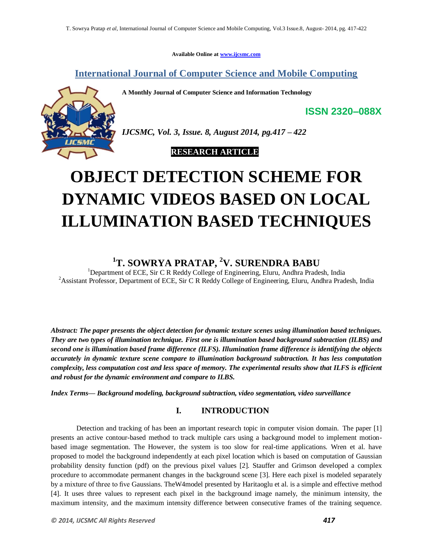**Available Online at www.ijcsmc.com**

**International Journal of Computer Science and Mobile Computing**

**A Monthly Journal of Computer Science and Information Technology**



*IJCSMC, Vol. 3, Issue. 8, August 2014, pg.417 – 422*

 **RESEARCH ARTICLE**

# **OBJECT DETECTION SCHEME FOR DYNAMIC VIDEOS BASED ON LOCAL ILLUMINATION BASED TECHNIQUES**

## <sup>1</sup>**T. SOWRYA PRATAP, <sup>2</sup>V. SURENDRA BABU**<br><sup>1</sup>Department of ECE, Sir C R Reddy College of Engineering, Eluru, Andhra Pradesh, India

<sup>2</sup>Assistant Professor, Department of ECE, Sir C R Reddy College of Engineering, Eluru, Andhra Pradesh, India

*Abstract: The paper presents the object detection for dynamic texture scenes using illumination based techniques. They are two types of illumination technique. First one is illumination based background subtraction (ILBS) and second one is illumination based frame difference (ILFS). Illumination frame difference is identifying the objects accurately in dynamic texture scene compare to illumination background subtraction. It has less computation complexity, less computation cost and less space of memory. The experimental results show that ILFS is efficient and robust for the dynamic environment and compare to ILBS.*

*Index Terms— Background modeling, background subtraction, video segmentation, video surveillance*

## **I. INTRODUCTION**

Detection and tracking of has been an important research topic in computer vision domain. The paper [1] presents an active contour-based method to track multiple cars using a background model to implement motionbased image segmentation. The However, the system is too slow for real-time applications. Wren et al. have proposed to model the background independently at each pixel location which is based on computation of Gaussian probability density function (pdf) on the previous pixel values [2]. Stauffer and Grimson developed a complex procedure to accommodate permanent changes in the background scene [3]. Here each pixel is modeled separately by a mixture of three to five Gaussians. TheW4model presented by Haritaoglu et al. is a simple and effective method [4]. It uses three values to represent each pixel in the background image namely, the minimum intensity, the maximum intensity, and the maximum intensity difference between consecutive frames of the training sequence.

**ISSN 2320–088X**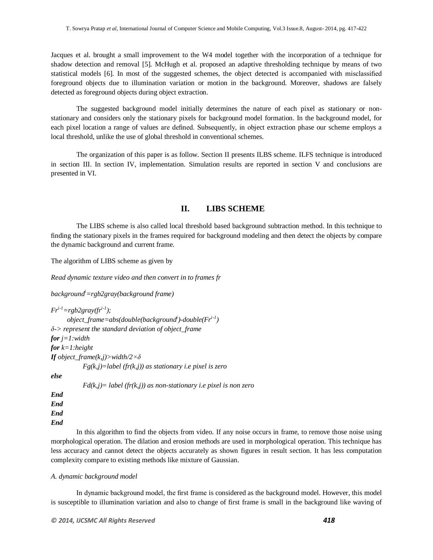Jacques et al. brought a small improvement to the W4 model together with the incorporation of a technique for shadow detection and removal [5]. McHugh et al. proposed an adaptive thresholding technique by means of two statistical models [6]. In most of the suggested schemes, the object detected is accompanied with misclassified foreground objects due to illumination variation or motion in the background. Moreover, shadows are falsely detected as foreground objects during object extraction.

The suggested background model initially determines the nature of each pixel as stationary or nonstationary and considers only the stationary pixels for background model formation. In the background model, for each pixel location a range of values are defined. Subsequently, in object extraction phase our scheme employs a local threshold, unlike the use of global threshold in conventional schemes.

The organization of this paper is as follow. Section II presents ILBS scheme. ILFS technique is introduced in section III. In section IV, implementation. Simulation results are reported in section V and conclusions are presented in VI.

#### **II. LIBS SCHEME**

The LIBS scheme is also called local threshold based background subtraction method. In this technique to finding the stationary pixels in the frames required for background modeling and then detect the objects by compare the dynamic background and current frame.

The algorithm of LIBS scheme as given by

*Read dynamic texture video and then convert in to frames fr*

*background<sup>i</sup>=rgb2gray(background frame)*

 $Fr^{i-l} = rgb2grav(fr^{i-l});$  *object\_frame=abs(double(background<sup>i</sup> )-double(Fri-1 ) δ-> represent the standard deviation of object\_frame for j=1:width for k=1:height If object\_frame(k,j)>width/2×δ Fg(k,j)=label (fr(k,j)) as stationary i.e pixel is zero else Fd(k,j)= label (fr(k,j)) as non-stationary i.e pixel is non zero*

*End End End End*

In this algorithm to find the objects from video. If any noise occurs in frame, to remove those noise using morphological operation. The dilation and erosion methods are used in morphological operation. This technique has less accuracy and cannot detect the objects accurately as shown figures in result section. It has less computation complexity compare to existing methods like mixture of Gaussian.

#### *A. dynamic background model*

In dynamic background model, the first frame is considered as the background model. However, this model is susceptible to illumination variation and also to change of first frame is small in the background like waving of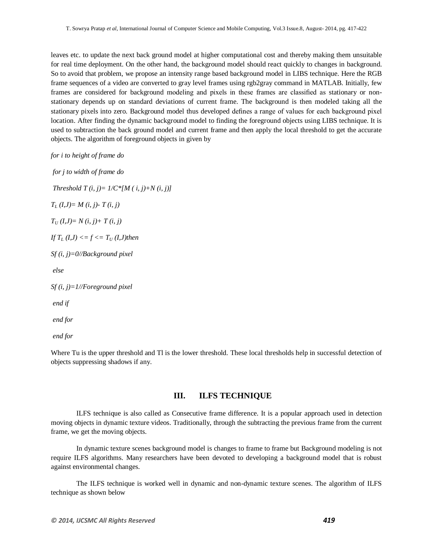leaves etc. to update the next back ground model at higher computational cost and thereby making them unsuitable for real time deployment. On the other hand, the background model should react quickly to changes in background. So to avoid that problem, we propose an intensity range based background model in LIBS technique. Here the RGB frame sequences of a video are converted to gray level frames using rgb2gray command in MATLAB. Initially, few frames are considered for background modeling and pixels in these frames are classified as stationary or nonstationary depends up on standard deviations of current frame. The background is then modeled taking all the stationary pixels into zero. Background model thus developed defines a range of values for each background pixel location. After finding the dynamic background model to finding the foreground objects using LIBS technique. It is used to subtraction the back ground model and current frame and then apply the local threshold to get the accurate objects. The algorithm of foreground objects in given by

*for i to height of frame do*

*for j to width of frame do Threshold*  $T(i, j) = 1/C^* [M(i, j) + N(i, j)]$ *T<sup>L</sup> (I,J)= M (i, j)- T (i, j)*  $T_U$  (*I,J*)=  $N$  (*i, j*)+  $T$  (*i, j*) *If*  $T_L$  (*I,J*)  $\leq f \leq T_U$  (*I,J*)then *Sf (i, j)=0//Background pixel else Sf (i, j)=1//Foreground pixel end if end for*

*end for*

Where Tu is the upper threshold and Tl is the lower threshold. These local thresholds help in successful detection of objects suppressing shadows if any.

#### **III. ILFS TECHNIQUE**

ILFS technique is also called as Consecutive frame difference. It is a popular approach used in detection moving objects in dynamic texture videos. Traditionally, through the subtracting the previous frame from the current frame, we get the moving objects.

In dynamic texture scenes background model is changes to frame to frame but Background modeling is not require ILFS algorithms. Many researchers have been devoted to developing a background model that is robust against environmental changes.

The ILFS technique is worked well in dynamic and non-dynamic texture scenes. The algorithm of ILFS technique as shown below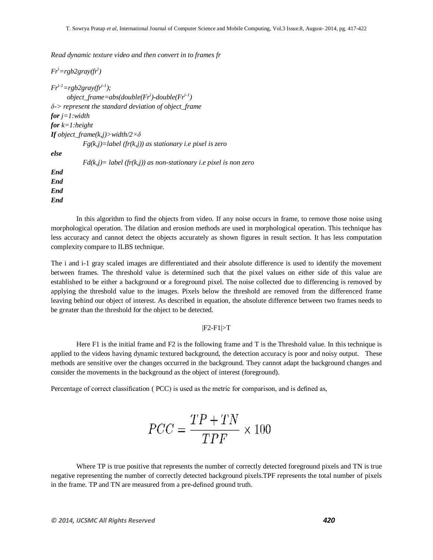*Read dynamic texture video and then convert in to frames fr*

*Fr<sup>i</sup>=rgb2gray(fr<sup>i</sup> )*  $Fr^{i-1} = rgb2grav(fr^{i-1})$ ;  *object\_frame=abs(double(Fr<sup>i</sup> )-double(Fri-1 ) δ-> represent the standard deviation of object\_frame for j=1:width for k=1:height If object\_frame(k,j)>width/2×δ Fg(k,j)=label (fr(k,j)) as stationary i.e pixel is zero else Fd(k,j)= label (fr(k,j)) as non-stationary i.e pixel is non zero End*

*End End End*

In this algorithm to find the objects from video. If any noise occurs in frame, to remove those noise using morphological operation. The dilation and erosion methods are used in morphological operation. This technique has less accuracy and cannot detect the objects accurately as shown figures in result section. It has less computation complexity compare to ILBS technique.

The i and i-1 gray scaled images are differentiated and their absolute difference is used to identify the movement between frames. The threshold value is determined such that the pixel values on either side of this value are established to be either a background or a foreground pixel. The noise collected due to differencing is removed by applying the threshold value to the images. Pixels below the threshold are removed from the differenced frame leaving behind our object of interest. As described in equation, the absolute difference between two frames needs to be greater than the threshold for the object to be detected.

#### |F2-F1|>T

Here F1 is the initial frame and F2 is the following frame and T is the Threshold value. In this technique is applied to the videos having dynamic textured background, the detection accuracy is poor and noisy output. These methods are sensitive over the changes occurred in the background. They cannot adapt the background changes and consider the movements in the background as the object of interest (foreground).

Percentage of correct classification ( PCC) is used as the metric for comparison, and is defined as,

$$
PCC = \frac{TP + TN}{TPF} \times 100
$$

Where TP is true positive that represents the number of correctly detected foreground pixels and TN is true negative representing the number of correctly detected background pixels.TPF represents the total number of pixels in the frame. TP and TN are measured from a pre-defined ground truth.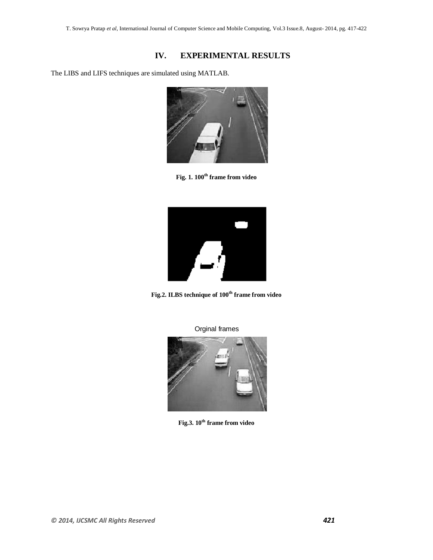### **IV. EXPERIMENTAL RESULTS**

The LIBS and LIFS techniques are simulated using MATLAB.



**Fig. 1. 100th frame from video**



**Fig.2. ILBS technique of 100th frame from video**

Orginal frames



**Fig.3. 10th frame from video**